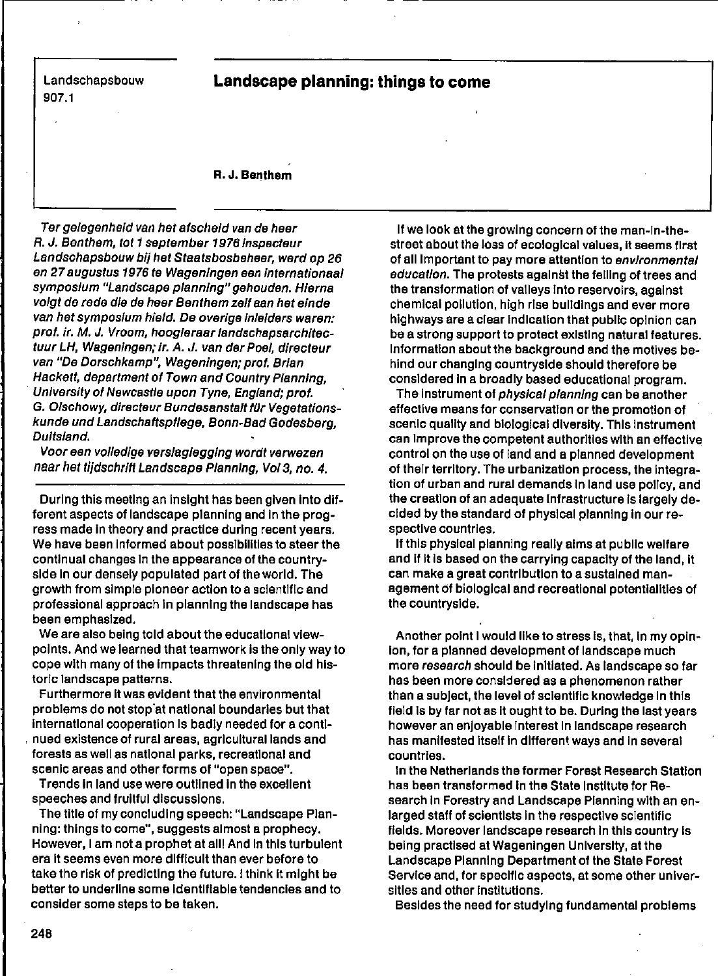Landschapsbouw 907.1

## **Landscape planning: things to come**

## R. J. Benthem

Ter gelegenheid van het afscheid van de heer R. J. Benthem, tot 1 september 1976 Inspecteur Landschapsbouw bij het Staatsbosbeheer, werd op 26 en 27 augustus 1976 te Wageningen een Internationaal symposium "Landscape planning" gehouden. Hlarna volgt de rede die de heer Benthem zeil aan het einde van het symposium hield. De overige inleiders waren: prof. ir. M. J. Vroom, hoogleraar landschapsarchitectuur LH, Wageningen; Ir. A. J. van dar Paal, directeur van "De Dorschkamp", Wageningen; prof. Brlan Hackett, department of Town and Country Planning, Unlverslty of Nawcastle upon Tyne, England; prof. G. Olschowy, directeur Bundesanstalt für Vegetationskunde und Landschaftspllege, Bonn·Bad Godesberg, Duitsland.

Voor een volledige verslaglegging wordt verwezen naar het tijdschrift Landscape Planning, Vol 3, no. 4.

Durlng thls meeting an Inslght has been glven Into different aspects of landscape planning and In the progress made In theory and practlce durlng recent years. We have been Informed about posslbilities to steer the contlnual changes In the appearance of the countryside in our densely populated part of the world. The growth from simple pioneer action to a scientific and professional approach In planning the landscape has been emphaslzed.

We are also being told about the educational viewpoints. And we learned that teamwork Is the only way to cope with many of the impacts threatening the old historie landscape patterns.

Furthermore It was evident that the envlronmental problems do not stop"at natlonal boundarles but that International cooperatlon Is badly needed for a contlnued exlstence of rural areas, agrlculturallands and forests as weil as natlonal parks, recreatlonal and scenic areas and other forms of "open space".

Trends In land use were outllned In the excellent speeches and frultful discusslons.

The title of my concluding speech: "Landscape Planning: thlngs to come", suggests almast a prophecy. However,l am not a prophet at alll And In thls turbulent era it seems even more difficult than ever before to take the risk of predicting the future. I think it might be better to underline some identifiable tendencies and to consider some steps to be taken.

If we look at the growlng concern of the man-In-thestreet about the loss of ecologlcal values, It seems flrst of all Important to pay more attention to environmental education. The protests against the felling of trees and the transformation of valleys into reservoirs, against chemlcal pollutIon, high rlse bulldlngs and ever more highways are a clear indication that public opinion can be a strong support to proteet exlstlng natural features. Informatlon about the background and the motlves behind our changlng countryslde should therefore be consldered In a broadly based educatlonal program.

The instrument of *physical planning* can be another effective means for conservation or the promotion of scenlc quallty and blologlcal dlverslty. Thls Instrument can Improve the competent authorities with an effective control on the use of land and a planned development of their territory. The urbanization process, the integration of urban and rural demands In land use pollcy, and the creation of an adequate Infrastructure is largely declded by the standard of physlcal planning In our respectlve countrles.

If this physical planning really alms at public welfare and if it is based on the carrying capacity of the land, it can make a great contribution to a sustained management of biological and recreational potentialities of the countryslde.

Another point I would like to stress is, that, in my opin-Ion, for a planned development of landscape much more research should be initiated. As landscape so far has been more consldered as a phenomenon rather than a subject, the level of scientific knowledge in this field is by far not as it ought to be. During the last years however an enjoyable interest in landscape research has manifested itself in different ways and in several countrles.

In the Netherlands the former Forest Research Station has been transformed in the State Institute for Research in Forestry and Landscape Planning with an enlarged staff of scientists in the respective scientific fields. Moreover landscape research in this country is belng practlsed at Wageningen Unlverslty, at the Landscape Planning Department of the State Forest Service and, for specific aspects, at some other universities and other institutions.

Besldes the need for studylng fundamental problems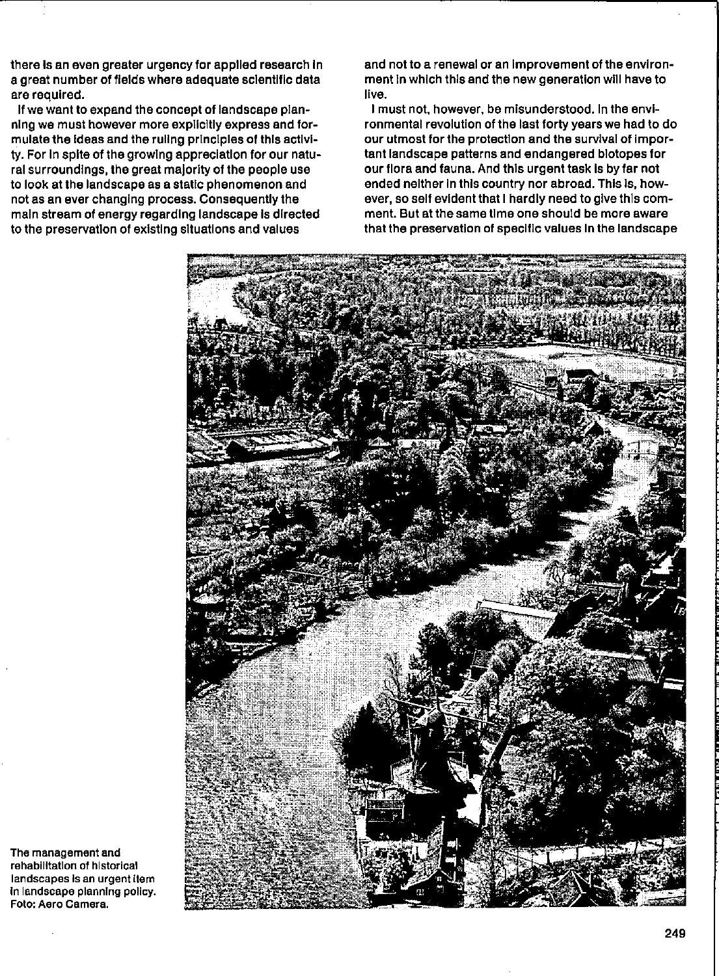there is an even greater urgency for applied research in a great number of fields where adequate scientific data are requlred.

If we want to expand the concept of landscape planning we must however more explicitly express and formulate the ideas and the ruling principles of this activity. For in spite of the growing appreciation for our natural surroundings, the great majority of the people use to look at Ihe landscape as a statie phenomenon and not as an ever changlng process. Consequenlly the maln stream of energy regardlng landscape Is dlrected to the preservation of existing situations and values

and not to a renewal or an improvement of the environment in which this and the new generation will have to live.

I must not, however, be mlsunderstood. In the envlronmental revolution of the last forty years we had to do our utmost for the protection and the survival of important landscape patterns and endangered blotopes for our flora and fauna. And this urgent task is by far not ended nelther in this country nor abroad. This is, however, so self evident that I hardly need to give this comment. But at the same time one should be more aware that the preservatlon of speclflc values In the landscape



**The management and**  rehabilitation of historical **landscapes Is an urgent Item In landscape planning pollcy. Foto: Aaro Camera.**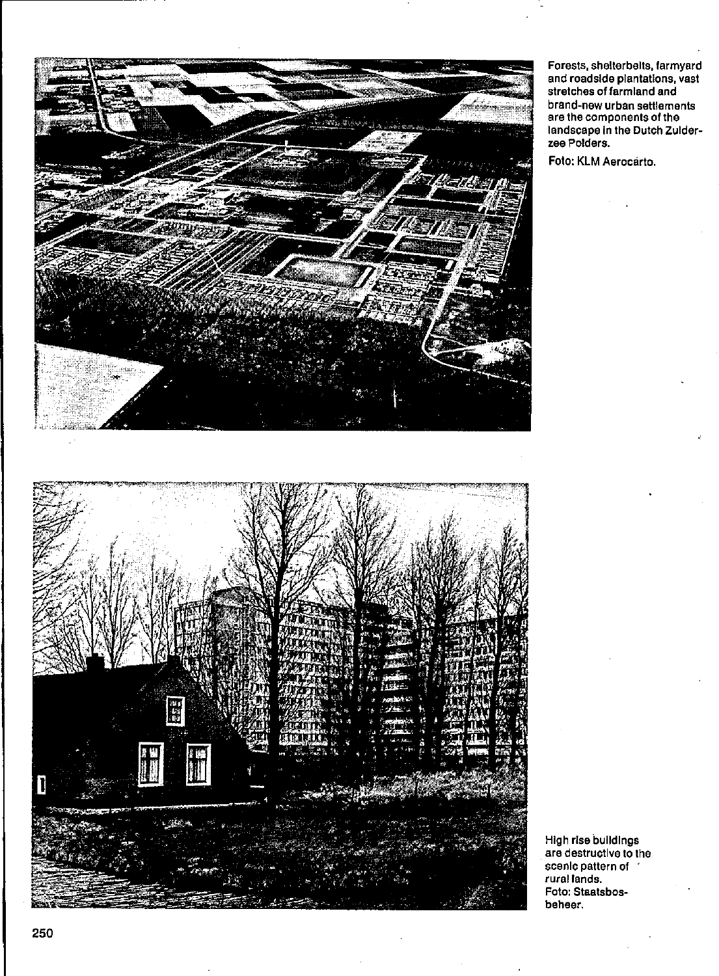

**Forests, shelterbeits, farmyard end roadslde plantBtlons, vast stretches of** farm land **end brand-new urban settlements are the components of ths**  landscape In the Dutch ZuIder**zee Polders.** 

Foto: KLM Aerocárto.

High rlse bulldlngs **are destructlve to the**  scan Ie **pattern of rurel lands. Foto: Staatsbosbeheer.**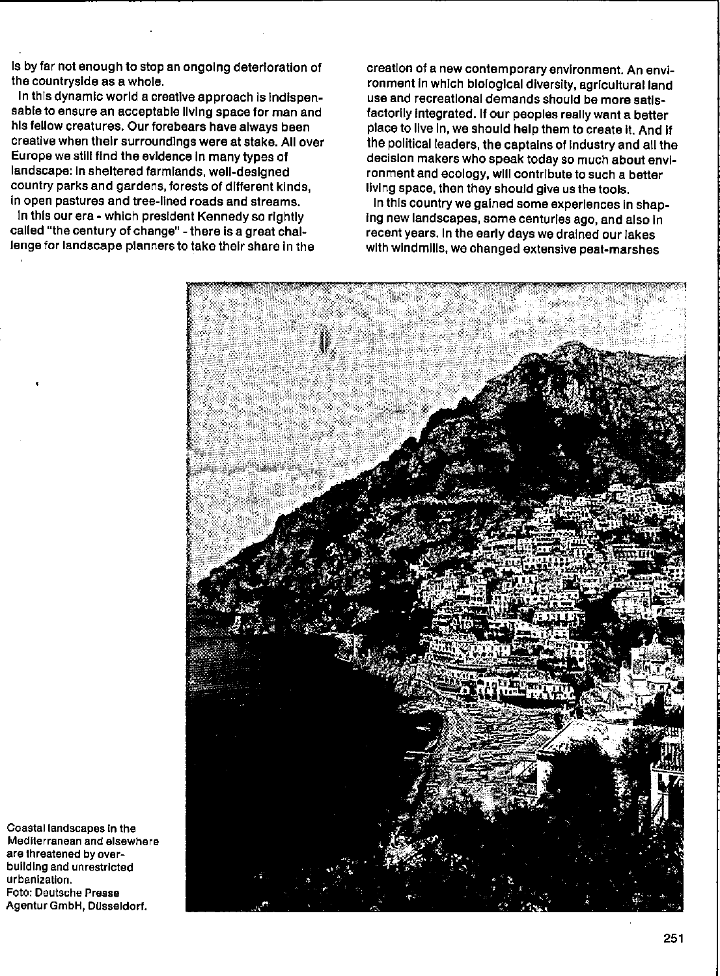Is by far not enough to stop an ongoing deterloration of the countryslde as a whoie.

In this dynamic world a creative approach is indispensable to ensure an acceptable living space for man and hls fellow creatures. Our forebears have always been creative when their surroundings were at stake. All over Europe we still find the evidence in many types of landscape: in sheltered farmlands, well-designed country parks and gardens, forests of different kinds, in open pastures and tree-Ilned roads and streams.

In thls our era - whlch president Kennedy so rlghtly called "the century of change" - there is a great challenge for landscape planners to take their share in the

creation of a new contemporary environment. An environment in which blological diversity, agricultural land use and recreatlonal demands should be more satlsfactorily integrated. If our peoples really want a better place to live in, we should help them to create it. And if the political leaders, the captains of industry and all the decision makers who speak today so much about environment and ecology, wlll contrlbute to such a better living space, then they should give us the tools.

In thls country we galned some experlences In shap-Ing new landscapes, some centuries ago, and also In recent years. In the early days we drained our lakes wlth wlndmills, we changed extenslve peat-marshes



**Coastallandscapes In the Mediterranean end elsewhere are threatened by overbuilding end unrestrlcted urbanlzatlon. Foto: Deutsche Presse**  Agentur GmbH, Düsseldorf,